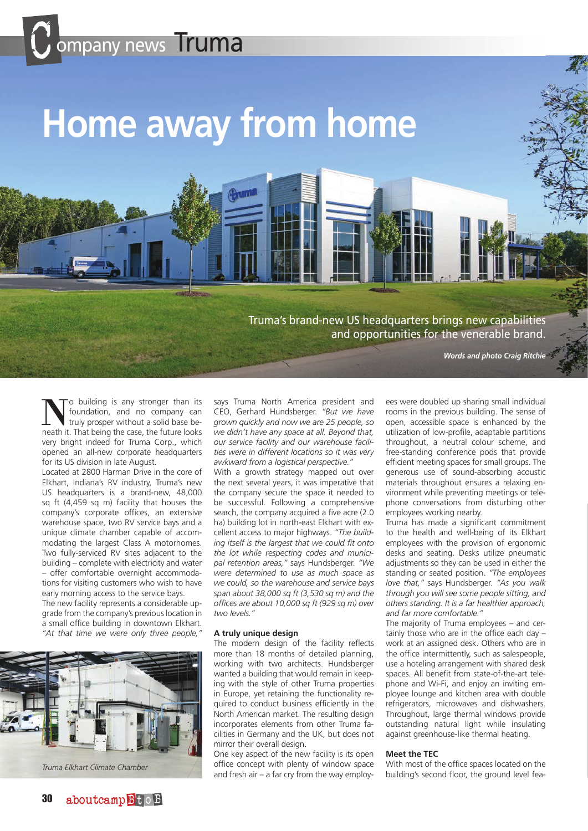# ompany news Truma

## **Home away from home**

Truma's brand-new US headquarters brings new capabilities and opportunities for the venerable brand.

*Words and photo Craig Ritchie*

o building is any stronger than its foundation, and no company can truly prosper without a solid base beneath it. That being the case, the future looks very bright indeed for Truma Corp., which opened an all-new corporate headquarters for its US division in late August.

Located at 2800 Harman Drive in the core of Elkhart, Indiana's RV industry, Truma's new US headquarters is a brand-new, 48,000 sq ft (4,459 sq m) facility that houses the company's corporate offices, an extensive warehouse space, two RV service bays and a unique climate chamber capable of accommodating the largest Class A motorhomes. Two fully-serviced RV sites adjacent to the building – complete with electricity and water – offer comfortable overnight accommodations for visiting customers who wish to have early morning access to the service bays.

The new facility represents a considerable upgrade from the company's previous location in a small office building in downtown Elkhart. *"At that time we were only three people,"* 



says Truma North America president and CEO, Gerhard Hundsberger. *"But we have grown quickly and now we are 25 people, so we didn't have any space at all. Beyond that, our service facility and our warehouse facilities were in different locations so it was very awkward from a logistical perspective."*

With a growth strategy mapped out over the next several years, it was imperative that the company secure the space it needed to be successful. Following a comprehensive search, the company acquired a five acre (2.0 ha) building lot in north-east Elkhart with excellent access to major highways. *"The building itself is the largest that we could fit onto the lot while respecting codes and municipal retention areas,"* says Hundsberger. *"We were determined to use as much space as we could, so the warehouse and service bays span about 38,000 sq ft (3,530 sq m) and the offices are about 10,000 sq ft (929 sq m) over two levels."*

#### **A truly unique design**

The modern design of the facility reflects more than 18 months of detailed planning, working with two architects. Hundsberger wanted a building that would remain in keeping with the style of other Truma properties in Europe, yet retaining the functionality required to conduct business efficiently in the North American market. The resulting design incorporates elements from other Truma facilities in Germany and the UK, but does not mirror their overall design.

One key aspect of the new facility is its open office concept with plenty of window space and fresh air – a far cry from the way employ-building's second floor, the ground level fea- *Truma Elkhart Climate Chamber*

ees were doubled up sharing small individual rooms in the previous building. The sense of open, accessible space is enhanced by the utilization of low-profile, adaptable partitions throughout, a neutral colour scheme, and free-standing conference pods that provide efficient meeting spaces for small groups. The generous use of sound-absorbing acoustic materials throughout ensures a relaxing environment while preventing meetings or telephone conversations from disturbing other employees working nearby.

Truma has made a significant commitment to the health and well-being of its Elkhart employees with the provision of ergonomic desks and seating. Desks utilize pneumatic adjustments so they can be used in either the standing or seated position. *"The employees love that,"* says Hundsberger. *"As you walk through you will see some people sitting, and others standing. It is a far healthier approach, and far more comfortable."*

The majority of Truma employees – and certainly those who are in the office each day – work at an assigned desk. Others who are in the office intermittently, such as salespeople, use a hoteling arrangement with shared desk spaces. All benefit from state-of-the-art telephone and Wi-Fi, and enjoy an inviting employee lounge and kitchen area with double refrigerators, microwaves and dishwashers. Throughout, large thermal windows provide outstanding natural light while insulating against greenhouse-like thermal heating.

#### **Meet the TEC**

With most of the office spaces located on the building's second floor, the ground level fea-